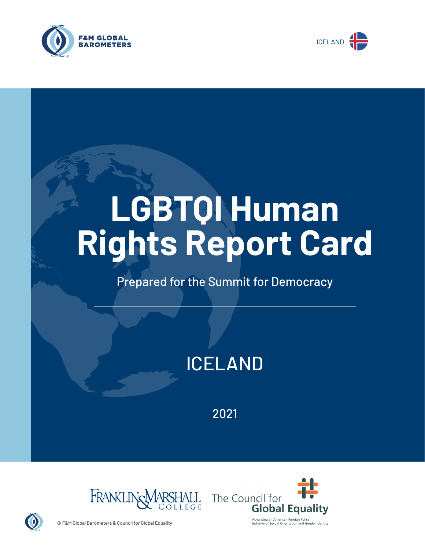



# **LGBTQI Human Rights Report Card**

# Prepared for the Summit for Democracy

# ICELAND

2021





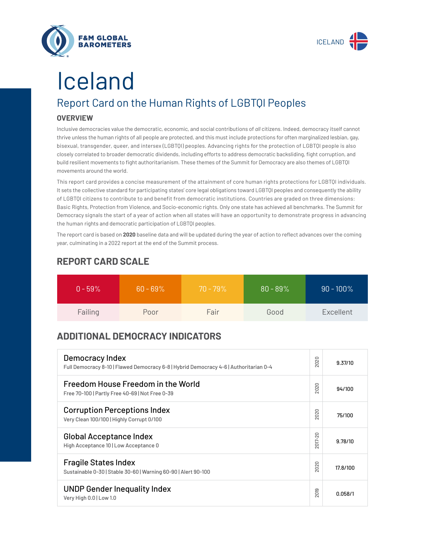



# Iceland

# Report Card on the Human Rights of LGBTQI Peoples

## **OVERVIEW**

Inclusive democracies value the democratic, economic, and social contributions of *all* citizens. Indeed, democracy itself cannot thrive unless the human rights of all people are protected, and this must include protections for often marginalized lesbian, gay, bisexual, transgender, queer, and intersex (LGBTQI) peoples. Advancing rights for the protection of LGBTQI people is also closely correlated to broader democratic dividends, including efforts to address democratic backsliding, fight corruption, and build resilient movements to fight authoritarianism. These themes of the Summit for Democracy are also themes of LGBTQI movements around the world.

This report card provides a concise measurement of the attainment of core human rights protections for LGBTQI individuals. It sets the collective standard for participating states' core legal obligations toward LGBTQI peoples and consequently the ability of LGBTQI citizens to contribute to and benefit from democratic institutions. Countries are graded on three dimensions: Basic Rights, Protection from Violence, and Socio-economic rights. Only one state has achieved all benchmarks. The Summit for Democracy signals the start of a year of action when all states will have an opportunity to demonstrate progress in advancing the human rights and democratic participation of LGBTQI peoples.

The report card is based on **2020** baseline data and will be updated during the year of action to reflect advances over the coming year, culminating in a 2022 report at the end of the Summit process.

| $0 - 59\%$ | $60 - 69\%$ | $70 - 79\%$ | $80 - 89\%$ | $90 - 100\%$ |
|------------|-------------|-------------|-------------|--------------|
| Failing    | Poor        | Fair        | Good        | Excellent    |

# **REPORT CARD SCALE**

# **ADDITIONAL DEMOCRACY INDICATORS**

| Democracy Index<br>Full Democracy 8-10   Flawed Democracy 6-8   Hybrid Democracy 4-6   Authoritarian 0-4 | 2020                   | 9.37/10  |
|----------------------------------------------------------------------------------------------------------|------------------------|----------|
| Freedom House Freedom in the World<br>Free 70-100   Partly Free 40-69   Not Free 0-39                    | 2020                   | 94/100   |
| <b>Corruption Perceptions Index</b><br>Very Clean 100/100   Highly Corrupt 0/100                         | 020<br>$\sim$          | 75/100   |
| <b>Global Acceptance Index</b><br>High Acceptance 10   Low Acceptance 0                                  | 2017-20                | 9.78/10  |
| <b>Fragile States Index</b><br>Sustainable 0-30   Stable 30-60   Warning 60-90   Alert 90-100            | 2020                   | 17.8/100 |
| <b>UNDP Gender Inequality Index</b><br>Very High 0.0   Low 1.0                                           | တ<br>5<br>$\bar{\sim}$ | 0.058/1  |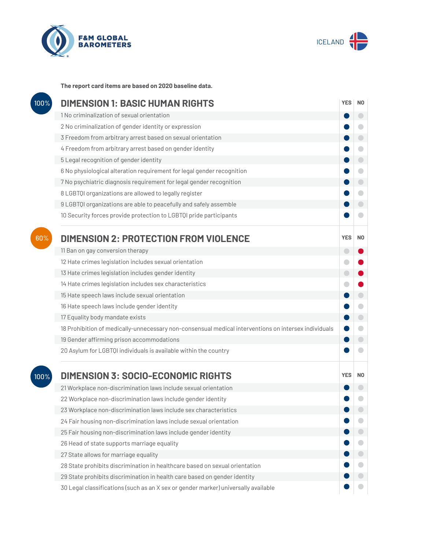



**The report card items are based on 2020 baseline data.**

| 100% | <b>DIMENSION 1: BASIC HUMAN RIGHTS</b>                                                               | <b>YES</b> | N <sub>0</sub> |
|------|------------------------------------------------------------------------------------------------------|------------|----------------|
|      | 1 No criminalization of sexual orientation                                                           |            | $\bigcirc$     |
|      | 2 No criminalization of gender identity or expression                                                |            | o              |
|      | 3 Freedom from arbitrary arrest based on sexual orientation                                          |            | $\bigcirc$     |
|      | 4 Freedom from arbitrary arrest based on gender identity                                             |            | $\bullet$      |
|      | 5 Legal recognition of gender identity                                                               |            | $\bigcirc$     |
|      | 6 No physiological alteration requirement for legal gender recognition                               |            | $\bigcirc$     |
|      | 7 No psychiatric diagnosis requirement for legal gender recognition                                  |            | $\bigcirc$     |
|      | 8 LGBTQI organizations are allowed to legally register                                               |            | $\bullet$      |
|      | 9 LGBTQI organizations are able to peacefully and safely assemble                                    |            | $\Box$         |
|      | 10 Security forces provide protection to LGBTQI pride participants                                   |            | a              |
| 60%  | <b>DIMENSION 2: PROTECTION FROM VIOLENCE</b>                                                         | <b>YES</b> | N <sub>0</sub> |
|      | 11 Ban on gay conversion therapy                                                                     | $\bigcirc$ |                |
|      | 12 Hate crimes legislation includes sexual orientation                                               | O          |                |
|      | 13 Hate crimes legislation includes gender identity                                                  | $\bigcirc$ |                |
|      | 14 Hate crimes legislation includes sex characteristics                                              |            |                |
|      | 15 Hate speech laws include sexual orientation                                                       |            | $\bigcirc$     |
|      | 16 Hate speech laws include gender identity                                                          |            | $\blacksquare$ |
|      | 17 Equality body mandate exists                                                                      |            | $\bigcirc$     |
|      | 18 Prohibition of medically-unnecessary non-consensual medical interventions on intersex individuals |            | $\bigcirc$     |
|      | 19 Gender affirming prison accommodations                                                            |            | $\bigcirc$     |
|      | 20 Asylum for LGBTQI individuals is available within the country                                     |            |                |
| 100% | <b>DIMENSION 3: SOCIO-ECONOMIC RIGHTS</b>                                                            | <b>YES</b> | N <sub>0</sub> |
|      | 21 Workplace non-discrimination laws include sexual orientation                                      |            |                |
|      | 22 Workplace non-discrimination laws include gender identity                                         |            |                |
|      | 23 Workplace non-discrimination laws include sex characteristics                                     |            |                |
|      | 24 Fair housing non-discrimination laws include sexual orientation                                   |            |                |
|      | 25 Fair housing non-discrimination laws include gender identity                                      |            | $\bigcirc$     |
|      | 26 Head of state supports marriage equality                                                          |            |                |
|      | 27 State allows for marriage equality                                                                |            |                |
|      | 28 State prohibits discrimination in healthcare based on sexual orientation                          |            | $\bigcirc$     |
|      | 29 State prohibits discrimination in health care based on gender identity                            |            |                |
|      | 30 Legal classifications (such as an X sex or gender marker) universally available                   |            |                |